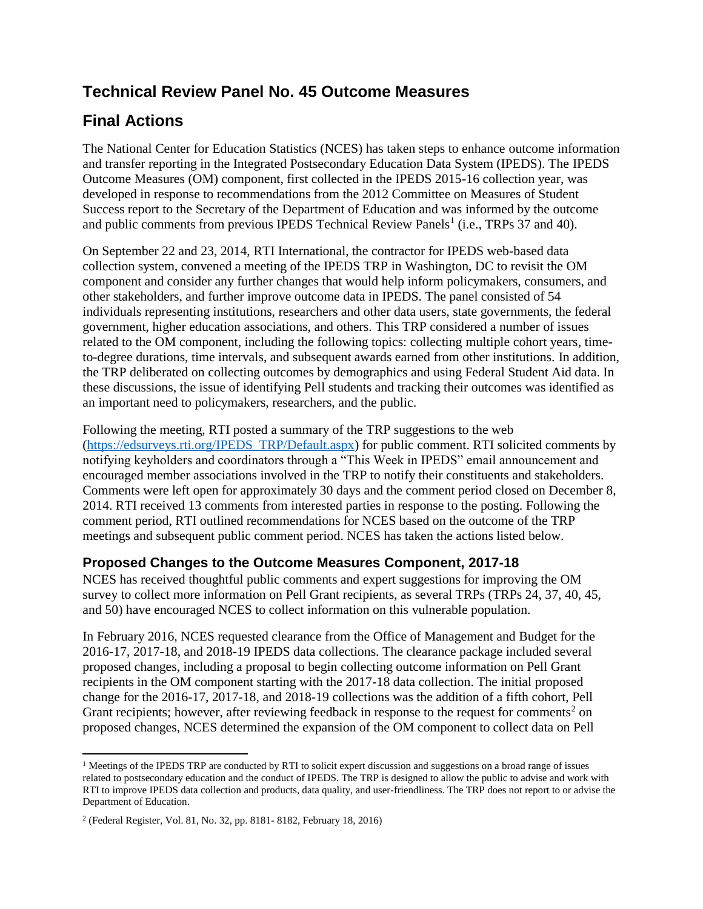## **Technical Review Panel No. 45 Outcome Measures**

## **Final Actions**

The National Center for Education Statistics (NCES) has taken steps to enhance outcome information and transfer reporting in the Integrated Postsecondary Education Data System (IPEDS). The IPEDS Outcome Measures (OM) component, first collected in the IPEDS 2015-16 collection year, was developed in response to recommendations from the 2012 Committee on Measures of Student Success report to the Secretary of the Department of Education and was informed by the outcome and public comments from previous IPEDS Technical Review Panels<sup>1</sup> (i.e., TRPs 37 and 40).

On September 22 and 23, 2014, RTI International, the contractor for IPEDS web-based data collection system, convened a meeting of the IPEDS TRP in Washington, DC to revisit the OM component and consider any further changes that would help inform policymakers, consumers, and other stakeholders, and further improve outcome data in IPEDS. The panel consisted of 54 individuals representing institutions, researchers and other data users, state governments, the federal government, higher education associations, and others. This TRP considered a number of issues related to the OM component, including the following topics: collecting multiple cohort years, timeto-degree durations, time intervals, and subsequent awards earned from other institutions. In addition, the TRP deliberated on collecting outcomes by demographics and using Federal Student Aid data. In these discussions, the issue of identifying Pell students and tracking their outcomes was identified as an important need to policymakers, researchers, and the public.

Following the meeting, RTI posted a summary of the TRP suggestions to the web [\(https://edsurveys.rti.org/IPEDS\\_TRP/Default.aspx\)](https://edsurveys.rti.org/IPEDS_TRP/Default.aspx) for public comment. RTI solicited comments by notifying keyholders and coordinators through a "This Week in IPEDS" email announcement and encouraged member associations involved in the TRP to notify their constituents and stakeholders. Comments were left open for approximately 30 days and the comment period closed on December 8, 2014. RTI received 13 comments from interested parties in response to the posting. Following the comment period, RTI outlined recommendations for NCES based on the outcome of the TRP meetings and subsequent public comment period. NCES has taken the actions listed below.

## **Proposed Changes to the Outcome Measures Component, 2017-18**

NCES has received thoughtful public comments and expert suggestions for improving the OM survey to collect more information on Pell Grant recipients, as several TRPs (TRPs 24, 37, 40, 45, and 50) have encouraged NCES to collect information on this vulnerable population.

In February 2016, NCES requested clearance from the Office of Management and Budget for the 2016-17, 2017-18, and 2018-19 IPEDS data collections. The clearance package included several proposed changes, including a proposal to begin collecting outcome information on Pell Grant recipients in the OM component starting with the 2017-18 data collection. The initial proposed change for the 2016-17, 2017-18, and 2018-19 collections was the addition of a fifth cohort, Pell Grant recipients; however, after reviewing feedback in response to the request for comments<sup>2</sup> on proposed changes, NCES determined the expansion of the OM component to collect data on Pell

l

 $1$  Meetings of the IPEDS TRP are conducted by RTI to solicit expert discussion and suggestions on a broad range of issues related to postsecondary education and the conduct of IPEDS. The TRP is designed to allow the public to advise and work with RTI to improve IPEDS data collection and products, data quality, and user-friendliness. The TRP does not report to or advise the Department of Education.

<sup>2</sup> (Federal Register, Vol. 81, No. 32, pp. 8181- 8182, February 18, 2016)